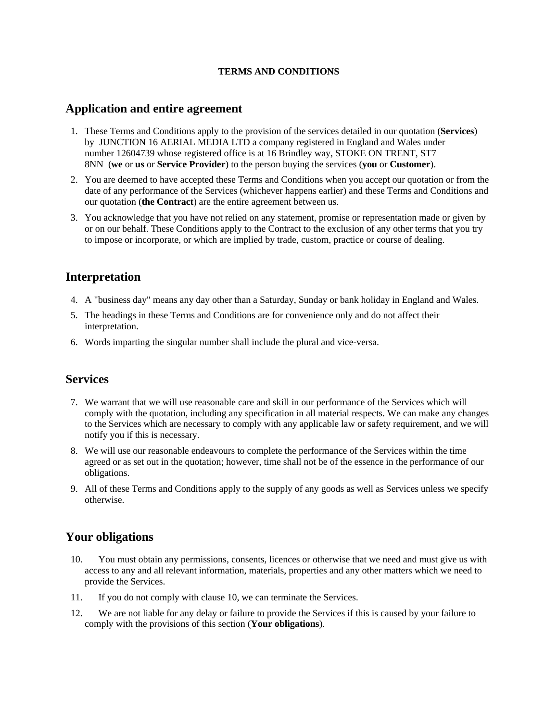#### **TERMS AND CONDITIONS**

#### **Application and entire agreement**

- 1. These Terms and Conditions apply to the provision of the services detailed in our quotation (**Services**) by JUNCTION 16 AERIAL MEDIA LTD a company registered in England and Wales under number 12604739 whose registered office is at 16 Brindley way, STOKE ON TRENT, ST7 8NN (**we** or **us** or **Service Provider**) to the person buying the services (**you** or **Customer**).
- 2. You are deemed to have accepted these Terms and Conditions when you accept our quotation or from the date of any performance of the Services (whichever happens earlier) and these Terms and Conditions and our quotation (**the Contract**) are the entire agreement between us.
- 3. You acknowledge that you have not relied on any statement, promise or representation made or given by or on our behalf. These Conditions apply to the Contract to the exclusion of any other terms that you try to impose or incorporate, or which are implied by trade, custom, practice or course of dealing.

## **Interpretation**

- 4. A "business day" means any day other than a Saturday, Sunday or bank holiday in England and Wales.
- 5. The headings in these Terms and Conditions are for convenience only and do not affect their interpretation.
- 6. Words imparting the singular number shall include the plural and vice-versa.

### **Services**

- 7. We warrant that we will use reasonable care and skill in our performance of the Services which will comply with the quotation, including any specification in all material respects. We can make any changes to the Services which are necessary to comply with any applicable law or safety requirement, and we will notify you if this is necessary.
- 8. We will use our reasonable endeavours to complete the performance of the Services within the time agreed or as set out in the quotation; however, time shall not be of the essence in the performance of our obligations.
- 9. All of these Terms and Conditions apply to the supply of any goods as well as Services unless we specify otherwise.

## **Your obligations**

- 10. You must obtain any permissions, consents, licences or otherwise that we need and must give us with access to any and all relevant information, materials, properties and any other matters which we need to provide the Services.
- 11. If you do not comply with clause 10, we can terminate the Services.
- 12. We are not liable for any delay or failure to provide the Services if this is caused by your failure to comply with the provisions of this section (**Your obligations**).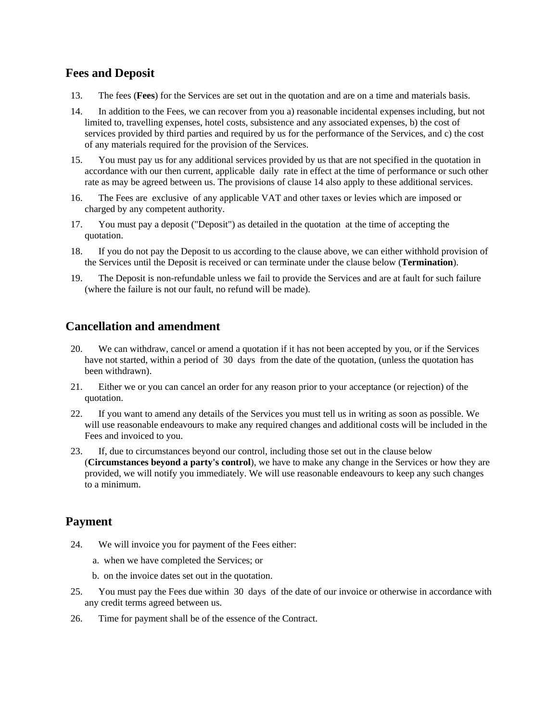## **Fees and Deposit**

- 13. The fees (**Fees**) for the Services are set out in the quotation and are on a time and materials basis.
- 14. In addition to the Fees, we can recover from you a) reasonable incidental expenses including, but not limited to, travelling expenses, hotel costs, subsistence and any associated expenses, b) the cost of services provided by third parties and required by us for the performance of the Services, and c) the cost of any materials required for the provision of the Services.
- 15. You must pay us for any additional services provided by us that are not specified in the quotation in accordance with our then current, applicable daily rate in effect at the time of performance or such other rate as may be agreed between us. The provisions of clause 14 also apply to these additional services.
- 16. The Fees are exclusive of any applicable VAT and other taxes or levies which are imposed or charged by any competent authority.
- 17. You must pay a deposit ("Deposit") as detailed in the quotation at the time of accepting the quotation.
- 18. If you do not pay the Deposit to us according to the clause above, we can either withhold provision of the Services until the Deposit is received or can terminate under the clause below (**Termination**).
- 19. The Deposit is non-refundable unless we fail to provide the Services and are at fault for such failure (where the failure is not our fault, no refund will be made).

## **Cancellation and amendment**

- 20. We can withdraw, cancel or amend a quotation if it has not been accepted by you, or if the Services have not started, within a period of 30 days from the date of the quotation, (unless the quotation has been withdrawn).
- 21. Either we or you can cancel an order for any reason prior to your acceptance (or rejection) of the quotation.
- 22. If you want to amend any details of the Services you must tell us in writing as soon as possible. We will use reasonable endeavours to make any required changes and additional costs will be included in the Fees and invoiced to you.
- 23. If, due to circumstances beyond our control, including those set out in the clause below (**Circumstances beyond a party's control**), we have to make any change in the Services or how they are provided, we will notify you immediately. We will use reasonable endeavours to keep any such changes to a minimum.

## **Payment**

- 24. We will invoice you for payment of the Fees either:
	- a. when we have completed the Services; or
	- b. on the invoice dates set out in the quotation.
- 25. You must pay the Fees due within 30 days of the date of our invoice or otherwise in accordance with any credit terms agreed between us.
- 26. Time for payment shall be of the essence of the Contract.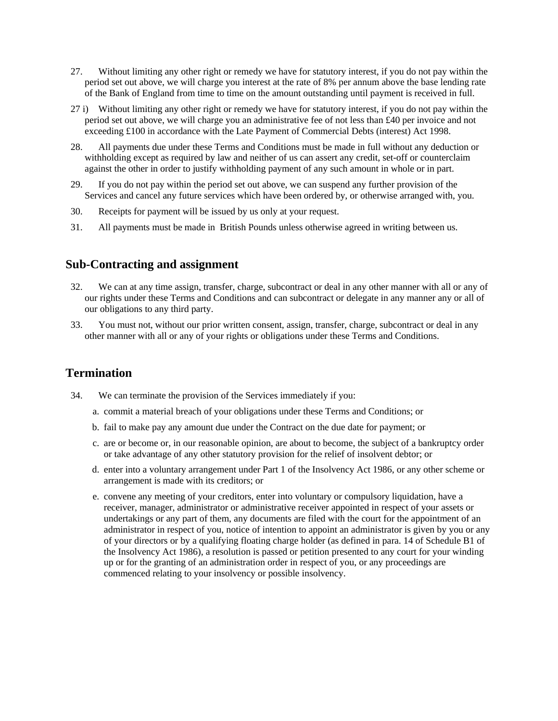- 27. Without limiting any other right or remedy we have for statutory interest, if you do not pay within the period set out above, we will charge you interest at the rate of 8% per annum above the base lending rate of the Bank of England from time to time on the amount outstanding until payment is received in full.
- 27 i) Without limiting any other right or remedy we have for statutory interest, if you do not pay within the period set out above, we will charge you an administrative fee of not less than £40 per invoice and not exceeding £100 in accordance with the Late Payment of Commercial Debts (interest) Act 1998.
- 28. All payments due under these Terms and Conditions must be made in full without any deduction or withholding except as required by law and neither of us can assert any credit, set-off or counterclaim against the other in order to justify withholding payment of any such amount in whole or in part.
- 29. If you do not pay within the period set out above, we can suspend any further provision of the Services and cancel any future services which have been ordered by, or otherwise arranged with, you.
- 30. Receipts for payment will be issued by us only at your request.
- 31. All payments must be made in British Pounds unless otherwise agreed in writing between us.

#### **Sub-Contracting and assignment**

- 32. We can at any time assign, transfer, charge, subcontract or deal in any other manner with all or any of our rights under these Terms and Conditions and can subcontract or delegate in any manner any or all of our obligations to any third party.
- 33. You must not, without our prior written consent, assign, transfer, charge, subcontract or deal in any other manner with all or any of your rights or obligations under these Terms and Conditions.

### **Termination**

- 34. We can terminate the provision of the Services immediately if you:
	- a. commit a material breach of your obligations under these Terms and Conditions; or
	- b. fail to make pay any amount due under the Contract on the due date for payment; or
	- c. are or become or, in our reasonable opinion, are about to become, the subject of a bankruptcy order or take advantage of any other statutory provision for the relief of insolvent debtor; or
	- d. enter into a voluntary arrangement under Part 1 of the Insolvency Act 1986, or any other scheme or arrangement is made with its creditors; or
	- e. convene any meeting of your creditors, enter into voluntary or compulsory liquidation, have a receiver, manager, administrator or administrative receiver appointed in respect of your assets or undertakings or any part of them, any documents are filed with the court for the appointment of an administrator in respect of you, notice of intention to appoint an administrator is given by you or any of your directors or by a qualifying floating charge holder (as defined in para. 14 of Schedule B1 of the Insolvency Act 1986), a resolution is passed or petition presented to any court for your winding up or for the granting of an administration order in respect of you, or any proceedings are commenced relating to your insolvency or possible insolvency.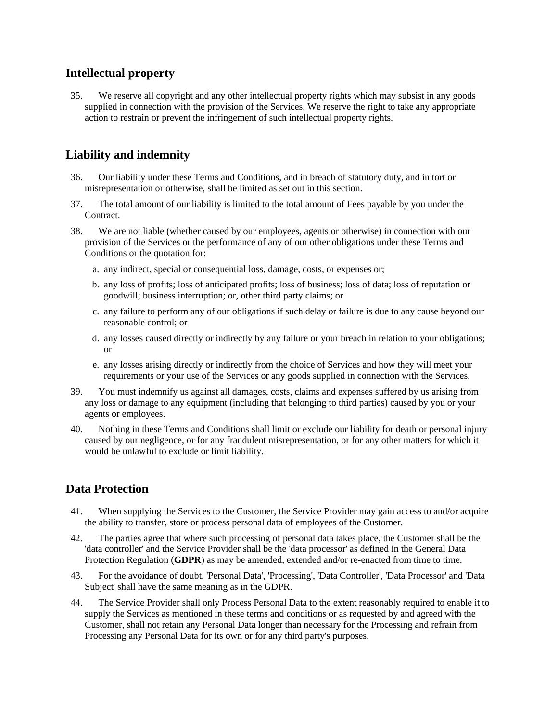## **Intellectual property**

35. We reserve all copyright and any other intellectual property rights which may subsist in any goods supplied in connection with the provision of the Services. We reserve the right to take any appropriate action to restrain or prevent the infringement of such intellectual property rights.

## **Liability and indemnity**

- 36. Our liability under these Terms and Conditions, and in breach of statutory duty, and in tort or misrepresentation or otherwise, shall be limited as set out in this section.
- 37. The total amount of our liability is limited to the total amount of Fees payable by you under the Contract.
- 38. We are not liable (whether caused by our employees, agents or otherwise) in connection with our provision of the Services or the performance of any of our other obligations under these Terms and Conditions or the quotation for:
	- a. any indirect, special or consequential loss, damage, costs, or expenses or;
	- b. any loss of profits; loss of anticipated profits; loss of business; loss of data; loss of reputation or goodwill; business interruption; or, other third party claims; or
	- c. any failure to perform any of our obligations if such delay or failure is due to any cause beyond our reasonable control; or
	- d. any losses caused directly or indirectly by any failure or your breach in relation to your obligations; or
	- e. any losses arising directly or indirectly from the choice of Services and how they will meet your requirements or your use of the Services or any goods supplied in connection with the Services.
- 39. You must indemnify us against all damages, costs, claims and expenses suffered by us arising from any loss or damage to any equipment (including that belonging to third parties) caused by you or your agents or employees.
- 40. Nothing in these Terms and Conditions shall limit or exclude our liability for death or personal injury caused by our negligence, or for any fraudulent misrepresentation, or for any other matters for which it would be unlawful to exclude or limit liability.

## **Data Protection**

- 41. When supplying the Services to the Customer, the Service Provider may gain access to and/or acquire the ability to transfer, store or process personal data of employees of the Customer.
- 42. The parties agree that where such processing of personal data takes place, the Customer shall be the 'data controller' and the Service Provider shall be the 'data processor' as defined in the General Data Protection Regulation (**GDPR**) as may be amended, extended and/or re-enacted from time to time.
- 43. For the avoidance of doubt, 'Personal Data', 'Processing', 'Data Controller', 'Data Processor' and 'Data Subject' shall have the same meaning as in the GDPR.
- 44. The Service Provider shall only Process Personal Data to the extent reasonably required to enable it to supply the Services as mentioned in these terms and conditions or as requested by and agreed with the Customer, shall not retain any Personal Data longer than necessary for the Processing and refrain from Processing any Personal Data for its own or for any third party's purposes.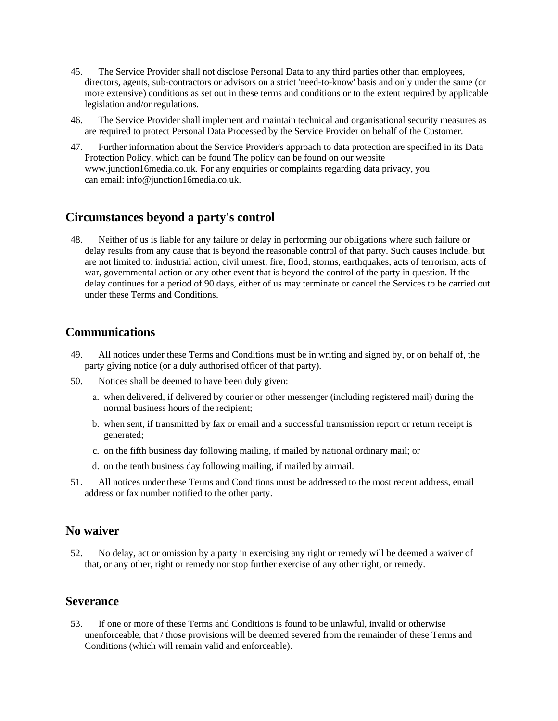- 45. The Service Provider shall not disclose Personal Data to any third parties other than employees, directors, agents, sub-contractors or advisors on a strict 'need-to-know' basis and only under the same (or more extensive) conditions as set out in these terms and conditions or to the extent required by applicable legislation and/or regulations.
- 46. The Service Provider shall implement and maintain technical and organisational security measures as are required to protect Personal Data Processed by the Service Provider on behalf of the Customer.
- 47. Further information about the Service Provider's approach to data protection are specified in its Data Protection Policy, which can be found The policy can be found on our website www.junction16media.co.uk. For any enquiries or complaints regarding data privacy, you can email: info@junction16media.co.uk.

#### **Circumstances beyond a party's control**

48. Neither of us is liable for any failure or delay in performing our obligations where such failure or delay results from any cause that is beyond the reasonable control of that party. Such causes include, but are not limited to: industrial action, civil unrest, fire, flood, storms, earthquakes, acts of terrorism, acts of war, governmental action or any other event that is beyond the control of the party in question. If the delay continues for a period of 90 days, either of us may terminate or cancel the Services to be carried out under these Terms and Conditions.

#### **Communications**

- 49. All notices under these Terms and Conditions must be in writing and signed by, or on behalf of, the party giving notice (or a duly authorised officer of that party).
- 50. Notices shall be deemed to have been duly given:
	- a. when delivered, if delivered by courier or other messenger (including registered mail) during the normal business hours of the recipient;
	- b. when sent, if transmitted by fax or email and a successful transmission report or return receipt is generated;
	- c. on the fifth business day following mailing, if mailed by national ordinary mail; or
	- d. on the tenth business day following mailing, if mailed by airmail.
- 51. All notices under these Terms and Conditions must be addressed to the most recent address, email address or fax number notified to the other party.

#### **No waiver**

52. No delay, act or omission by a party in exercising any right or remedy will be deemed a waiver of that, or any other, right or remedy nor stop further exercise of any other right, or remedy.

#### **Severance**

53. If one or more of these Terms and Conditions is found to be unlawful, invalid or otherwise unenforceable, that / those provisions will be deemed severed from the remainder of these Terms and Conditions (which will remain valid and enforceable).